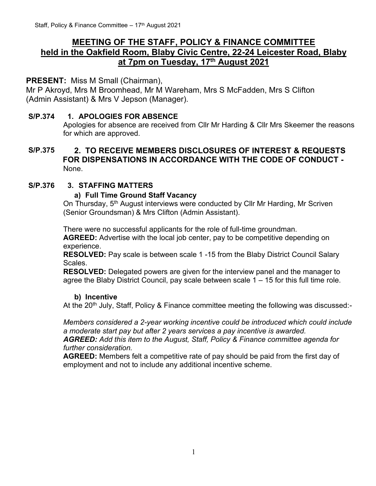# **MEETING OF THE STAFF, POLICY & FINANCE COMMITTEE held in the Oakfield Room, Blaby Civic Centre, 22-24 Leicester Road, Blaby at 7pm on Tuesday, 17th August 2021**

## **PRESENT:** Miss M Small (Chairman),

Mr P Akroyd, Mrs M Broomhead, Mr M Wareham, Mrs S McFadden, Mrs S Clifton (Admin Assistant) & Mrs V Jepson (Manager).

#### **S/P.374 1. APOLOGIES FOR ABSENCE**

Apologies for absence are received from Cllr Mr Harding & Cllr Mrs Skeemer the reasons for which are approved.

## **S/P.375 2. TO RECEIVE MEMBERS DISCLOSURES OF INTEREST & REQUESTS FOR DISPENSATIONS IN ACCORDANCE WITH THE CODE OF CONDUCT -** None.

## **S/P.376 3. STAFFING MATTERS**

#### **a) Full Time Ground Staff Vacancy**

On Thursday, 5<sup>th</sup> August interviews were conducted by Cllr Mr Harding, Mr Scriven (Senior Groundsman) & Mrs Clifton (Admin Assistant).

There were no successful applicants for the role of full-time groundman. **AGREED:** Advertise with the local job center, pay to be competitive depending on experience.

**RESOLVED:** Pay scale is between scale 1 -15 from the Blaby District Council Salary Scales.

**RESOLVED:** Delegated powers are given for the interview panel and the manager to agree the Blaby District Council, pay scale between scale 1 – 15 for this full time role.

#### **b) Incentive**

At the 20<sup>th</sup> July, Staff, Policy & Finance committee meeting the following was discussed:-

*Members considered a 2-year working incentive could be introduced which could include a moderate start pay but after 2 years services a pay incentive is awarded. AGREED: Add this item to the August, Staff, Policy & Finance committee agenda for* 

#### *further consideration.*

**AGREED:** Members felt a competitive rate of pay should be paid from the first day of employment and not to include any additional incentive scheme.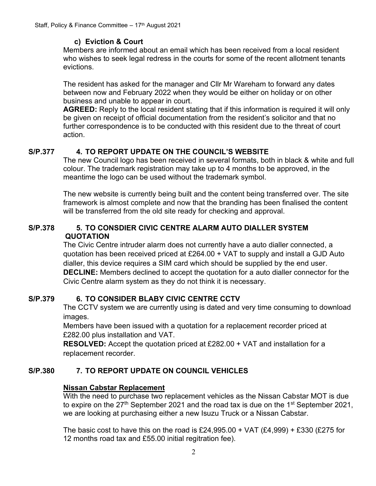## **c) Eviction & Court**

Members are informed about an email which has been received from a local resident who wishes to seek legal redress in the courts for some of the recent allotment tenants evictions.

The resident has asked for the manager and Cllr Mr Wareham to forward any dates between now and February 2022 when they would be either on holiday or on other business and unable to appear in court.

**AGREED:** Reply to the local resident stating that if this information is required it will only be given on receipt of official documentation from the resident's solicitor and that no further correspondence is to be conducted with this resident due to the threat of court action.

## **S/P.377 4. TO REPORT UPDATE ON THE COUNCIL'S WEBSITE**

The new Council logo has been received in several formats, both in black & white and full colour. The trademark registration may take up to 4 months to be approved, in the meantime the logo can be used without the trademark symbol.

The new website is currently being built and the content being transferred over. The site framework is almost complete and now that the branding has been finalised the content will be transferred from the old site ready for checking and approval.

#### **S/P.378 5. TO CONSDIER CIVIC CENTRE ALARM AUTO DIALLER SYSTEM QUOTATION**

The Civic Centre intruder alarm does not currently have a auto dialler connected, a quotation has been received priced at £264.00 + VAT to supply and install a GJD Auto dialler, this device requires a SIM card which should be supplied by the end user. **DECLINE:** Members declined to accept the quotation for a auto dialler connector for the Civic Centre alarm system as they do not think it is necessary.

## **S/P.379 6. TO CONSIDER BLABY CIVIC CENTRE CCTV**

The CCTV system we are currently using is dated and very time consuming to download images.

Members have been issued with a quotation for a replacement recorder priced at £282.00 plus installation and VAT.

**RESOLVED:** Accept the quotation priced at £282.00 + VAT and installation for a replacement recorder.

## **S/P.380 7. TO REPORT UPDATE ON COUNCIL VEHICLES**

## **Nissan Cabstar Replacement**

With the need to purchase two replacement vehicles as the Nissan Cabstar MOT is due to expire on the  $27<sup>th</sup>$  September 2021 and the road tax is due on the 1<sup>st</sup> September 2021, we are looking at purchasing either a new Isuzu Truck or a Nissan Cabstar.

The basic cost to have this on the road is  $£24,995.00 + VAT (£4,999) + £330 (£275$  for 12 months road tax and £55.00 initial regitration fee).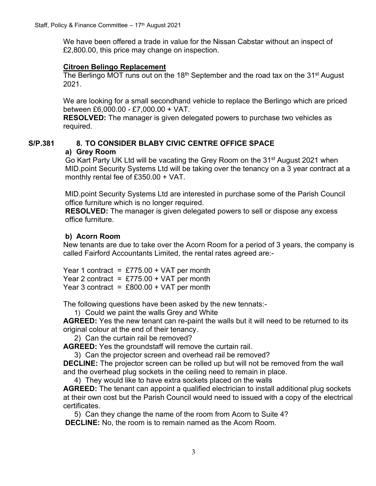We have been offered a trade in value for the Nissan Cabstar without an inspect of £2,800.00, this price may change on inspection.

#### **Citroen Belingo Replacement**

The Berlingo MOT runs out on the 18<sup>th</sup> September and the road tax on the 31<sup>st</sup> August 2021.

We are looking for a small secondhand vehicle to replace the Berlingo which are priced between £6,000.00 - £7,000.00 + VAT.

**RESOLVED:** The manager is given delegated powers to purchase two vehicles as required.

# **S/P.381 8. TO CONSIDER BLABY CIVIC CENTRE OFFICE SPACE a) Grey Room**

Go Kart Party UK Ltd will be vacating the Grey Room on the 31<sup>st</sup> August 2021 when MID.point Security Systems Ltd will be taking over the tenancy on a 3 year contract at a monthly rental fee of £350.00 + VAT.

MID.point Security Systems Ltd are interested in purchase some of the Parish Council office furniture which is no longer required.

**RESOLVED:** The manager is given delegated powers to sell or dispose any excess office furniture.

#### **b) Acorn Room**

New tenants are due to take over the Acorn Room for a period of 3 years, the company is called Fairford Accountants Limited, the rental rates agreed are:-

Year 1 contract =  $£775.00 + VAT$  per month Year 2 contract =  $£775.00 + VAT$  per month Year 3 contract =  $£800.00 + VAT$  per month

The following questions have been asked by the new tennats:-

1) Could we paint the walls Grey and White

**AGREED:** Yes the new tenant can re-paint the walls but it will need to be returned to its original colour at the end of their tenancy.

2) Can the curtain rail be removed?

**AGREED:** Yes the groundstaff will remove the curtain rail.

3) Can the projector screen and overhead rail be removed?

**DECLINE:** The projector screen can be rolled up but will not be removed from the wall and the overhead plug sockets in the ceiling need to remain in place.

4) They would like to have extra sockets placed on the walls

**AGREED:** The tenant can appoint a qualified electrician to install additional plug sockets at their own cost but the Parish Council would need to issued with a copy of the electrical certificates.

5) Can they change the name of the room from Acorn to Suite 4?

**DECLINE:** No, the room is to remain named as the Acorn Room.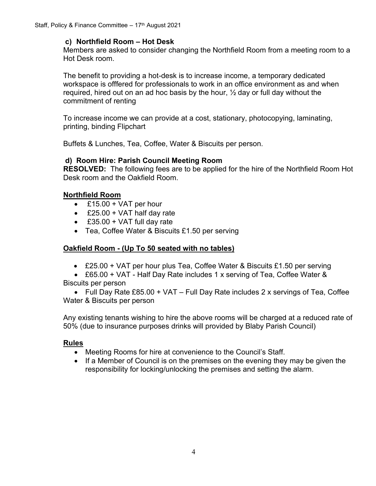#### **c) Northfield Room – Hot Desk**

Members are asked to consider changing the Northfield Room from a meeting room to a Hot Desk room.

The benefit to providing a hot-desk is to increase income, a temporary dedicated workspace is offfered for professionals to work in an office environment as and when required, hired out on an ad hoc basis by the hour,  $\frac{1}{2}$  day or full day without the commitment of renting

To increase income we can provide at a cost, stationary, photocopying, laminating, printing, binding Flipchart

Buffets & Lunches, Tea, Coffee, Water & Biscuits per person.

#### **d) Room Hire: Parish Council Meeting Room**

**RESOLVED:** The following fees are to be applied for the hire of the Northfield Room Hot Desk room and the Oakfield Room.

## • **Northfield Room**

- $\cdot$  £15.00 + VAT per hour
- £25.00 + VAT half day rate
- £35.00 + VAT full day rate
- Tea, Coffee Water & Biscuits £1.50 per serving

## • **Oakfield Room - (Up To 50 seated with no tables)**

• £25.00 + VAT per hour plus Tea, Coffee Water & Biscuits £1.50 per serving

• £65.00 + VAT - Half Day Rate includes 1 x serving of Tea, Coffee Water & Biscuits per person

• Full Day Rate £85.00 + VAT – Full Day Rate includes 2 x servings of Tea, Coffee Water & Biscuits per person

Any existing tenants wishing to hire the above rooms will be charged at a reduced rate of 50% (due to insurance purposes drinks will provided by Blaby Parish Council)

## **Rules**

- Meeting Rooms for hire at convenience to the Council's Staff.
- If a Member of Council is on the premises on the evening they may be given the responsibility for locking/unlocking the premises and setting the alarm.